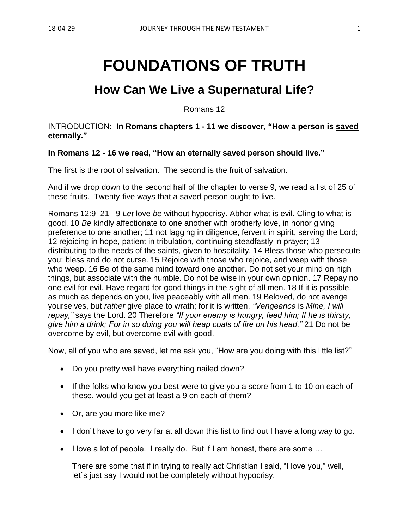# **FOUNDATIONS OF TRUTH**

## **How Can We Live a Supernatural Life?**

Romans 12

INTRODUCTION: **In Romans chapters 1 - 11 we discover, "How a person is saved eternally."**

#### **In Romans 12 - 16 we read, "How an eternally saved person should live."**

The first is the root of salvation. The second is the fruit of salvation.

And if we drop down to the second half of the chapter to verse 9, we read a list of 25 of these fruits. Twenty-five ways that a saved person ought to live.

Romans 12:9–21 9 *Let* love *be* without hypocrisy. Abhor what is evil. Cling to what is good. 10 *Be* kindly affectionate to one another with brotherly love, in honor giving preference to one another; 11 not lagging in diligence, fervent in spirit, serving the Lord; 12 rejoicing in hope, patient in tribulation, continuing steadfastly in prayer; 13 distributing to the needs of the saints, given to hospitality. 14 Bless those who persecute you; bless and do not curse. 15 Rejoice with those who rejoice, and weep with those who weep. 16 Be of the same mind toward one another. Do not set your mind on high things, but associate with the humble. Do not be wise in your own opinion. 17 Repay no one evil for evil. Have regard for good things in the sight of all men. 18 If it is possible, as much as depends on you, live peaceably with all men. 19 Beloved, do not avenge yourselves, but *rather* give place to wrath; for it is written, *"Vengeance* is *Mine, I will repay,"* says the Lord. 20 Therefore *"If your enemy is hungry, feed him; If he is thirsty, give him a drink; For in so doing you will heap coals of fire on his head."* 21 Do not be overcome by evil, but overcome evil with good.

Now, all of you who are saved, let me ask you, "How are you doing with this little list?"

- Do you pretty well have everything nailed down?
- If the folks who know you best were to give you a score from 1 to 10 on each of these, would you get at least a 9 on each of them?
- Or, are you more like me?
- I don´t have to go very far at all down this list to find out I have a long way to go.
- I love a lot of people. I really do. But if I am honest, there are some ...

There are some that if in trying to really act Christian I said, "I love you," well, let´s just say I would not be completely without hypocrisy.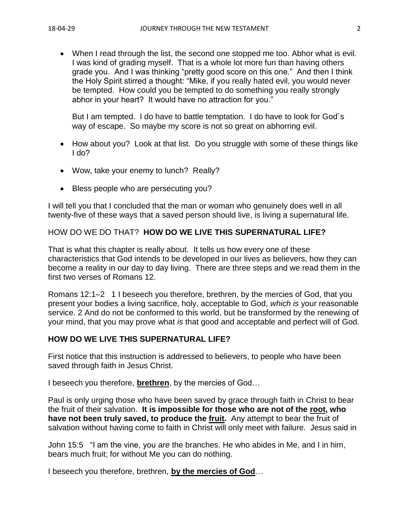• When I read through the list, the second one stopped me too. Abhor what is evil. I was kind of grading myself. That is a whole lot more fun than having others grade you. And I was thinking "pretty good score on this one." And then I think the Holy Spirit stirred a thought: "Mike, if you really hated evil, you would never be tempted. How could you be tempted to do something you really strongly abhor in your heart? It would have no attraction for you."

But I am tempted. I do have to battle temptation. I do have to look for God´s way of escape. So maybe my score is not so great on abhorring evil.

- How about you? Look at that list. Do you struggle with some of these things like I do?
- Wow, take your enemy to lunch? Really?
- Bless people who are persecuting you?

I will tell you that I concluded that the man or woman who genuinely does well in all twenty-five of these ways that a saved person should live, is living a supernatural life.

#### HOW DO WE DO THAT? **HOW DO WE LIVE THIS SUPERNATURAL LIFE?**

That is what this chapter is really about. It tells us how every one of these characteristics that God intends to be developed in our lives as believers, how they can become a reality in our day to day living. There are three steps and we read them in the first two verses of Romans 12.

Romans 12:1–2 1 I beseech you therefore, brethren, by the mercies of God, that you present your bodies a living sacrifice, holy, acceptable to God, *which is* your reasonable service. 2 And do not be conformed to this world, but be transformed by the renewing of your mind, that you may prove what *is* that good and acceptable and perfect will of God.

#### **HOW DO WE LIVE THIS SUPERNATURAL LIFE?**

First notice that this instruction is addressed to believers, to people who have been saved through faith in Jesus Christ.

I beseech you therefore, **brethren**, by the mercies of God…

Paul is only urging those who have been saved by grace through faith in Christ to bear the fruit of their salvation. **It is impossible for those who are not of the root, who have not been truly saved, to produce the fruit.** Any attempt to bear the fruit of salvation without having come to faith in Christ will only meet with failure. Jesus said in

John 15:5 "I am the vine, you *are* the branches. He who abides in Me, and I in him, bears much fruit; for without Me you can do nothing.

I beseech you therefore, brethren, **by the mercies of God**…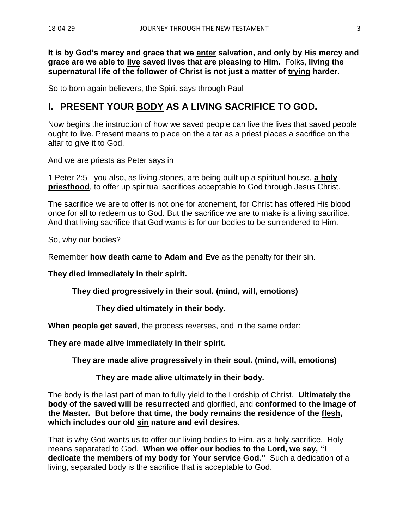**It is by God's mercy and grace that we enter salvation, and only by His mercy and grace are we able to live saved lives that are pleasing to Him.** Folks, **living the supernatural life of the follower of Christ is not just a matter of trying harder.**

So to born again believers, the Spirit says through Paul

#### **I. PRESENT YOUR BODY AS A LIVING SACRIFICE TO GOD.**

Now begins the instruction of how we saved people can live the lives that saved people ought to live. Present means to place on the altar as a priest places a sacrifice on the altar to give it to God.

And we are priests as Peter says in

1 Peter 2:5 you also, as living stones, are being built up a spiritual house, **a holy priesthood**, to offer up spiritual sacrifices acceptable to God through Jesus Christ.

The sacrifice we are to offer is not one for atonement, for Christ has offered His blood once for all to redeem us to God. But the sacrifice we are to make is a living sacrifice. And that living sacrifice that God wants is for our bodies to be surrendered to Him.

So, why our bodies?

Remember **how death came to Adam and Eve** as the penalty for their sin.

**They died immediately in their spirit.**

**They died progressively in their soul. (mind, will, emotions)**

**They died ultimately in their body.**

**When people get saved**, the process reverses, and in the same order:

**They are made alive immediately in their spirit.**

**They are made alive progressively in their soul. (mind, will, emotions)**

**They are made alive ultimately in their body.**

The body is the last part of man to fully yield to the Lordship of Christ. **Ultimately the body of the saved will be resurrected** and glorified, and **conformed to the image of the Master. But before that time, the body remains the residence of the flesh, which includes our old sin nature and evil desires.**

That is why God wants us to offer our living bodies to Him, as a holy sacrifice. Holy means separated to God. **When we offer our bodies to the Lord, we say, "I dedicate the members of my body for Your service God."** Such a dedication of a living, separated body is the sacrifice that is acceptable to God.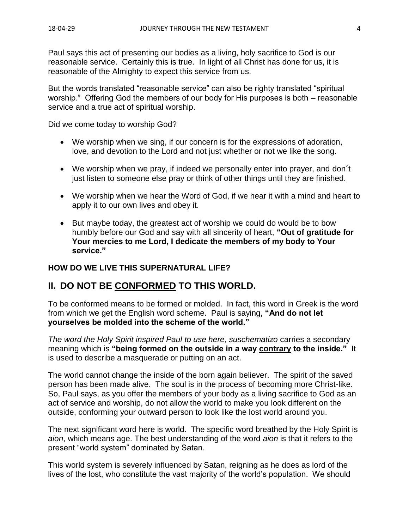Paul says this act of presenting our bodies as a living, holy sacrifice to God is our reasonable service. Certainly this is true. In light of all Christ has done for us, it is reasonable of the Almighty to expect this service from us.

But the words translated "reasonable service" can also be righty translated "spiritual worship." Offering God the members of our body for His purposes is both – reasonable service and a true act of spiritual worship.

Did we come today to worship God?

- We worship when we sing, if our concern is for the expressions of adoration, love, and devotion to the Lord and not just whether or not we like the song.
- We worship when we pray, if indeed we personally enter into prayer, and don't just listen to someone else pray or think of other things until they are finished.
- We worship when we hear the Word of God, if we hear it with a mind and heart to apply it to our own lives and obey it.
- But maybe today, the greatest act of worship we could do would be to bow humbly before our God and say with all sincerity of heart, **"Out of gratitude for Your mercies to me Lord, I dedicate the members of my body to Your service."**

#### **HOW DO WE LIVE THIS SUPERNATURAL LIFE?**

#### **II. DO NOT BE CONFORMED TO THIS WORLD.**

To be conformed means to be formed or molded. In fact, this word in Greek is the word from which we get the English word scheme. Paul is saying, **"And do not let yourselves be molded into the scheme of the world."**

*The word the Holy Spirit inspired Paul to use here, suschematizo* carries a secondary meaning which is **"being formed on the outside in a way contrary to the inside."** It is used to describe a masquerade or putting on an act.

The world cannot change the inside of the born again believer. The spirit of the saved person has been made alive. The soul is in the process of becoming more Christ-like. So, Paul says, as you offer the members of your body as a living sacrifice to God as an act of service and worship, do not allow the world to make you look different on the outside, conforming your outward person to look like the lost world around you.

The next significant word here is world. The specific word breathed by the Holy Spirit is *aion*, which means age. The best understanding of the word *aion* is that it refers to the present "world system" dominated by Satan.

This world system is severely influenced by Satan, reigning as he does as lord of the lives of the lost, who constitute the vast majority of the world's population. We should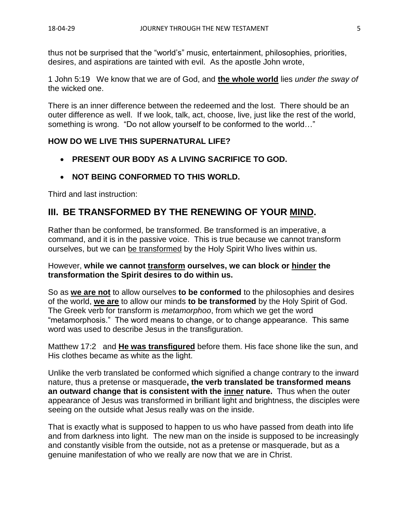thus not be surprised that the "world's" music, entertainment, philosophies, priorities, desires, and aspirations are tainted with evil. As the apostle John wrote,

1 John 5:19 We know that we are of God, and **the whole world** lies *under the sway of* the wicked one.

There is an inner difference between the redeemed and the lost. There should be an outer difference as well. If we look, talk, act, choose, live, just like the rest of the world, something is wrong. "Do not allow yourself to be conformed to the world…"

#### **HOW DO WE LIVE THIS SUPERNATURAL LIFE?**

- **PRESENT OUR BODY AS A LIVING SACRIFICE TO GOD.**
- **NOT BEING CONFORMED TO THIS WORLD.**

Third and last instruction:

### **III. BE TRANSFORMED BY THE RENEWING OF YOUR MIND.**

Rather than be conformed, be transformed. Be transformed is an imperative, a command, and it is in the passive voice. This is true because we cannot transform ourselves, but we can be transformed by the Holy Spirit Who lives within us.

#### However, **while we cannot transform ourselves, we can block or hinder the transformation the Spirit desires to do within us.**

So as **we are not** to allow ourselves **to be conformed** to the philosophies and desires of the world, **we are** to allow our minds **to be transformed** by the Holy Spirit of God. The Greek verb for transform is *metamorphoo*, from which we get the word "metamorphosis." The word means to change, or to change appearance. This same word was used to describe Jesus in the transfiguration.

Matthew 17:2 and **He was transfigured** before them. His face shone like the sun, and His clothes became as white as the light.

Unlike the verb translated be conformed which signified a change contrary to the inward nature, thus a pretense or masquerade**, the verb translated be transformed means an outward change that is consistent with the inner nature.** Thus when the outer appearance of Jesus was transformed in brilliant light and brightness, the disciples were seeing on the outside what Jesus really was on the inside.

That is exactly what is supposed to happen to us who have passed from death into life and from darkness into light. The new man on the inside is supposed to be increasingly and constantly visible from the outside, not as a pretense or masquerade, but as a genuine manifestation of who we really are now that we are in Christ.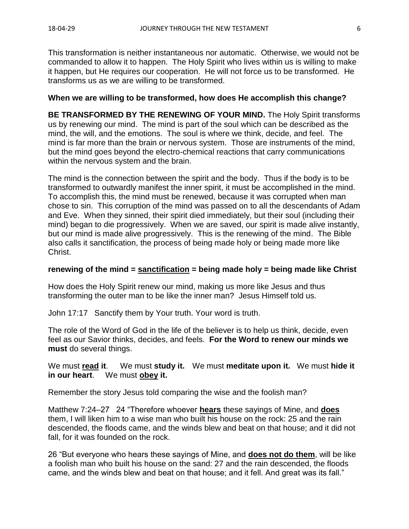This transformation is neither instantaneous nor automatic. Otherwise, we would not be commanded to allow it to happen. The Holy Spirit who lives within us is willing to make it happen, but He requires our cooperation. He will not force us to be transformed. He transforms us as we are willing to be transformed.

#### **When we are willing to be transformed, how does He accomplish this change?**

**BE TRANSFORMED BY THE RENEWING OF YOUR MIND.** The Holy Spirit transforms us by renewing our mind. The mind is part of the soul which can be described as the mind, the will, and the emotions. The soul is where we think, decide, and feel. The mind is far more than the brain or nervous system. Those are instruments of the mind, but the mind goes beyond the electro-chemical reactions that carry communications within the nervous system and the brain.

The mind is the connection between the spirit and the body. Thus if the body is to be transformed to outwardly manifest the inner spirit, it must be accomplished in the mind. To accomplish this, the mind must be renewed, because it was corrupted when man chose to sin. This corruption of the mind was passed on to all the descendants of Adam and Eve. When they sinned, their spirit died immediately, but their soul (including their mind) began to die progressively. When we are saved, our spirit is made alive instantly, but our mind is made alive progressively. This is the renewing of the mind. The Bible also calls it sanctification, the process of being made holy or being made more like Christ.

#### **renewing of the mind = sanctification = being made holy = being made like Christ**

How does the Holy Spirit renew our mind, making us more like Jesus and thus transforming the outer man to be like the inner man? Jesus Himself told us.

John 17:17 Sanctify them by Your truth. Your word is truth.

The role of the Word of God in the life of the believer is to help us think, decide, even feel as our Savior thinks, decides, and feels. **For the Word to renew our minds we must** do several things.

We must **read it**. We must **study it.** We must **meditate upon it.** We must **hide it in our heart**. We must **obey it.**

Remember the story Jesus told comparing the wise and the foolish man?

Matthew 7:24–27 24 "Therefore whoever **hears** these sayings of Mine, and **does** them, I will liken him to a wise man who built his house on the rock: 25 and the rain descended, the floods came, and the winds blew and beat on that house; and it did not fall, for it was founded on the rock.

26 "But everyone who hears these sayings of Mine, and **does not do them**, will be like a foolish man who built his house on the sand: 27 and the rain descended, the floods came, and the winds blew and beat on that house; and it fell. And great was its fall."